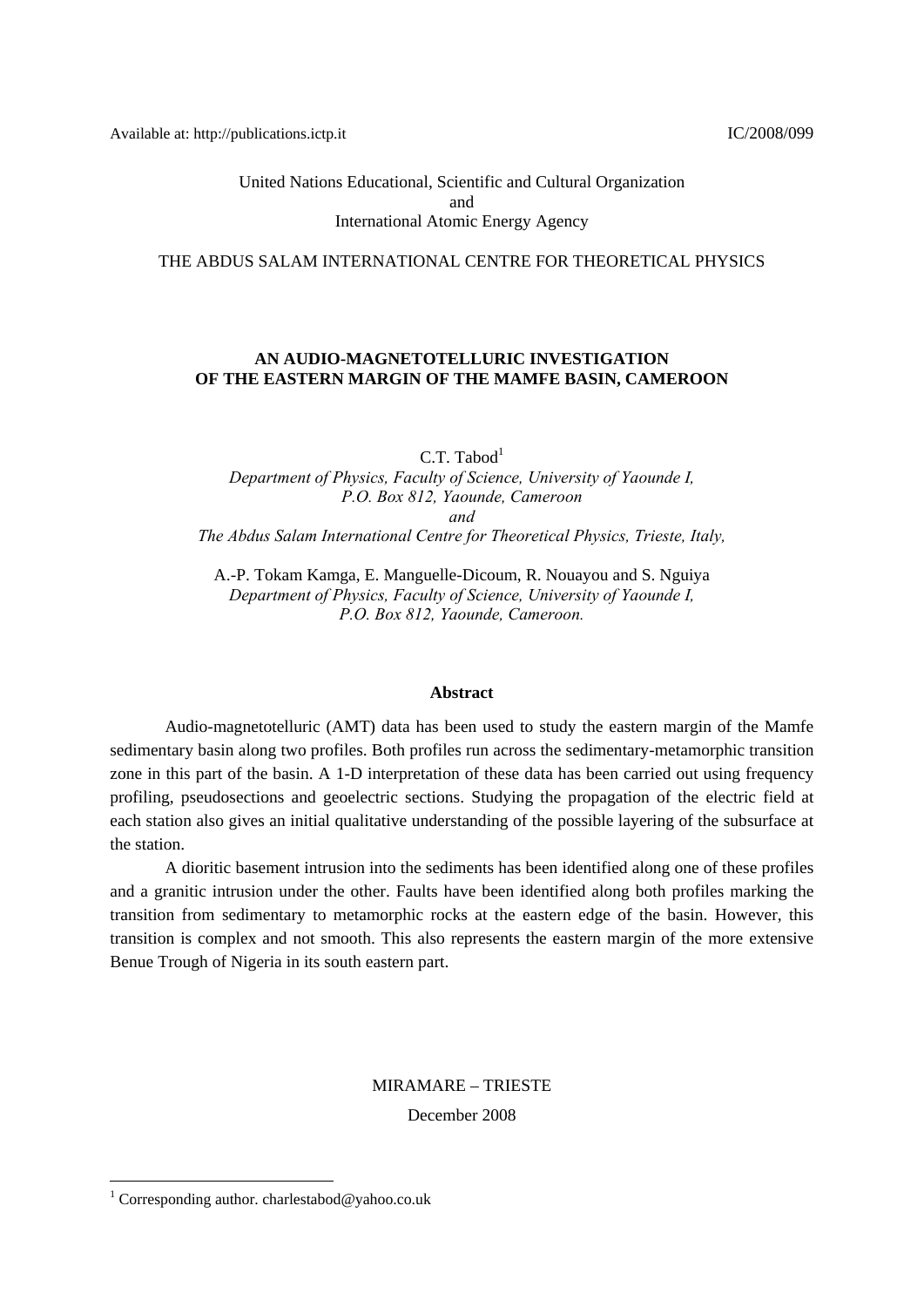Available at: http://publications.ictp.it IC/2008/099

United Nations Educational, Scientific and Cultural Organization and International Atomic Energy Agency

#### THE ABDUS SALAM INTERNATIONAL CENTRE FOR THEORETICAL PHYSICS

## **AN AUDIO-MAGNETOTELLURIC INVESTIGATION OF THE EASTERN MARGIN OF THE MAMFE BASIN, CAMEROON**

 $C.T.$  Tabod<sup>1</sup>

*Department of Physics, Faculty of Science, University of Yaounde I, P.O. Box 812, Yaounde, Cameroon and The Abdus Salam International Centre for Theoretical Physics, Trieste, Italy,* 

A.-P. Tokam Kamga, E. Manguelle-Dicoum, R. Nouayou and S. Nguiya *Department of Physics, Faculty of Science, University of Yaounde I, P.O. Box 812, Yaounde, Cameroon.* 

#### **Abstract**

Audio-magnetotelluric (AMT) data has been used to study the eastern margin of the Mamfe sedimentary basin along two profiles. Both profiles run across the sedimentary-metamorphic transition zone in this part of the basin. A 1-D interpretation of these data has been carried out using frequency profiling, pseudosections and geoelectric sections. Studying the propagation of the electric field at each station also gives an initial qualitative understanding of the possible layering of the subsurface at the station.

A dioritic basement intrusion into the sediments has been identified along one of these profiles and a granitic intrusion under the other. Faults have been identified along both profiles marking the transition from sedimentary to metamorphic rocks at the eastern edge of the basin. However, this transition is complex and not smooth. This also represents the eastern margin of the more extensive Benue Trough of Nigeria in its south eastern part.

> MIRAMARE – TRIESTE December 2008

1

<sup>&</sup>lt;sup>1</sup> Corresponding author. charlestabod@yahoo.co.uk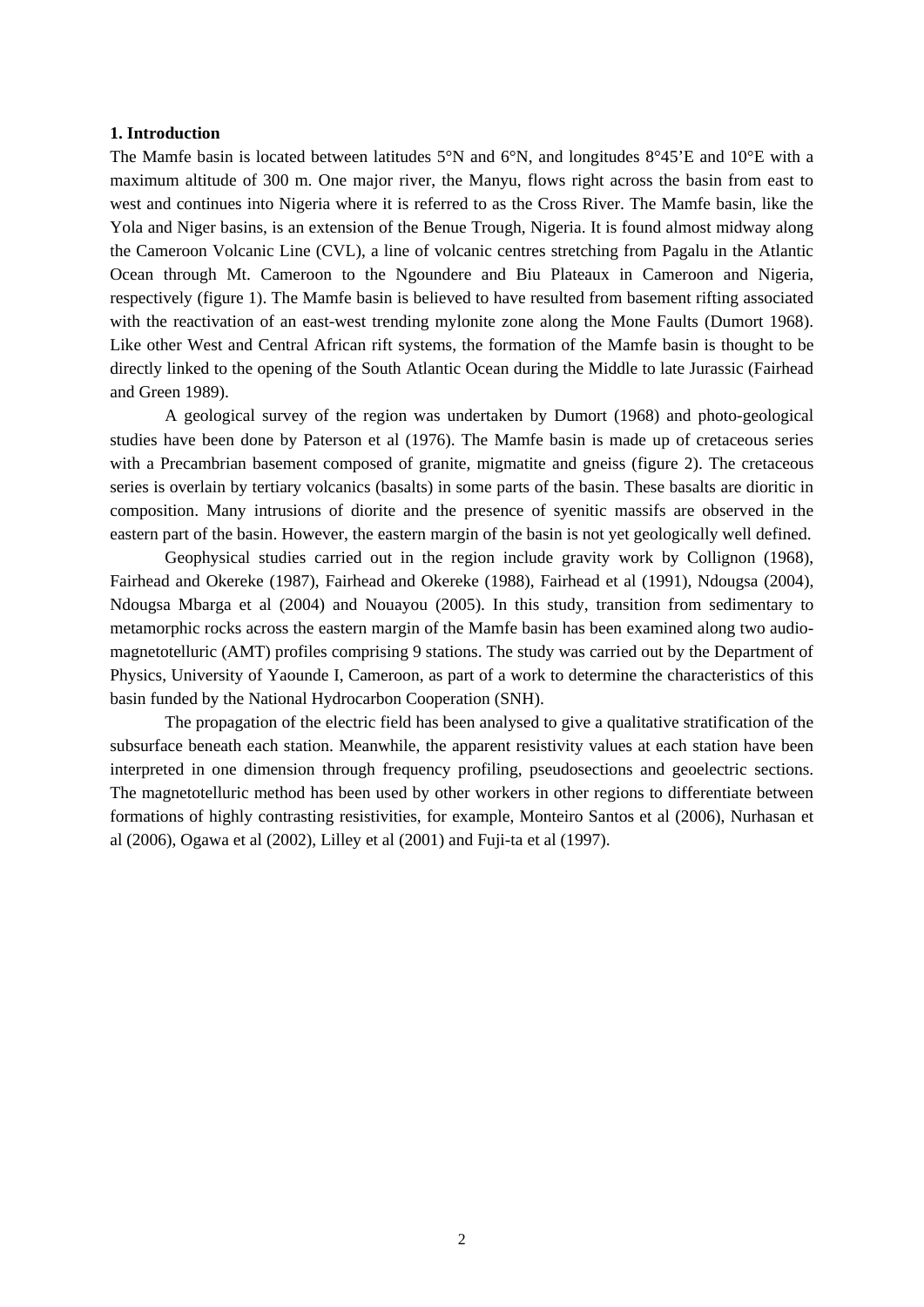## **1. Introduction**

The Mamfe basin is located between latitudes 5°N and 6°N, and longitudes 8°45'E and 10°E with a maximum altitude of 300 m. One major river, the Manyu, flows right across the basin from east to west and continues into Nigeria where it is referred to as the Cross River. The Mamfe basin, like the Yola and Niger basins, is an extension of the Benue Trough, Nigeria. It is found almost midway along the Cameroon Volcanic Line (CVL), a line of volcanic centres stretching from Pagalu in the Atlantic Ocean through Mt. Cameroon to the Ngoundere and Biu Plateaux in Cameroon and Nigeria, respectively (figure 1). The Mamfe basin is believed to have resulted from basement rifting associated with the reactivation of an east-west trending mylonite zone along the Mone Faults (Dumort 1968). Like other West and Central African rift systems, the formation of the Mamfe basin is thought to be directly linked to the opening of the South Atlantic Ocean during the Middle to late Jurassic (Fairhead and Green 1989).

A geological survey of the region was undertaken by Dumort (1968) and photo-geological studies have been done by Paterson et al (1976). The Mamfe basin is made up of cretaceous series with a Precambrian basement composed of granite, migmatite and gneiss (figure 2). The cretaceous series is overlain by tertiary volcanics (basalts) in some parts of the basin. These basalts are dioritic in composition. Many intrusions of diorite and the presence of syenitic massifs are observed in the eastern part of the basin. However, the eastern margin of the basin is not yet geologically well defined.

Geophysical studies carried out in the region include gravity work by Collignon (1968), Fairhead and Okereke (1987), Fairhead and Okereke (1988), Fairhead et al (1991), Ndougsa (2004), Ndougsa Mbarga et al (2004) and Nouayou (2005). In this study, transition from sedimentary to metamorphic rocks across the eastern margin of the Mamfe basin has been examined along two audiomagnetotelluric (AMT) profiles comprising 9 stations. The study was carried out by the Department of Physics, University of Yaounde I, Cameroon, as part of a work to determine the characteristics of this basin funded by the National Hydrocarbon Cooperation (SNH).

The propagation of the electric field has been analysed to give a qualitative stratification of the subsurface beneath each station. Meanwhile, the apparent resistivity values at each station have been interpreted in one dimension through frequency profiling, pseudosections and geoelectric sections. The magnetotelluric method has been used by other workers in other regions to differentiate between formations of highly contrasting resistivities, for example, Monteiro Santos et al (2006), Nurhasan et al (2006), Ogawa et al (2002), Lilley et al (2001) and Fuji-ta et al (1997).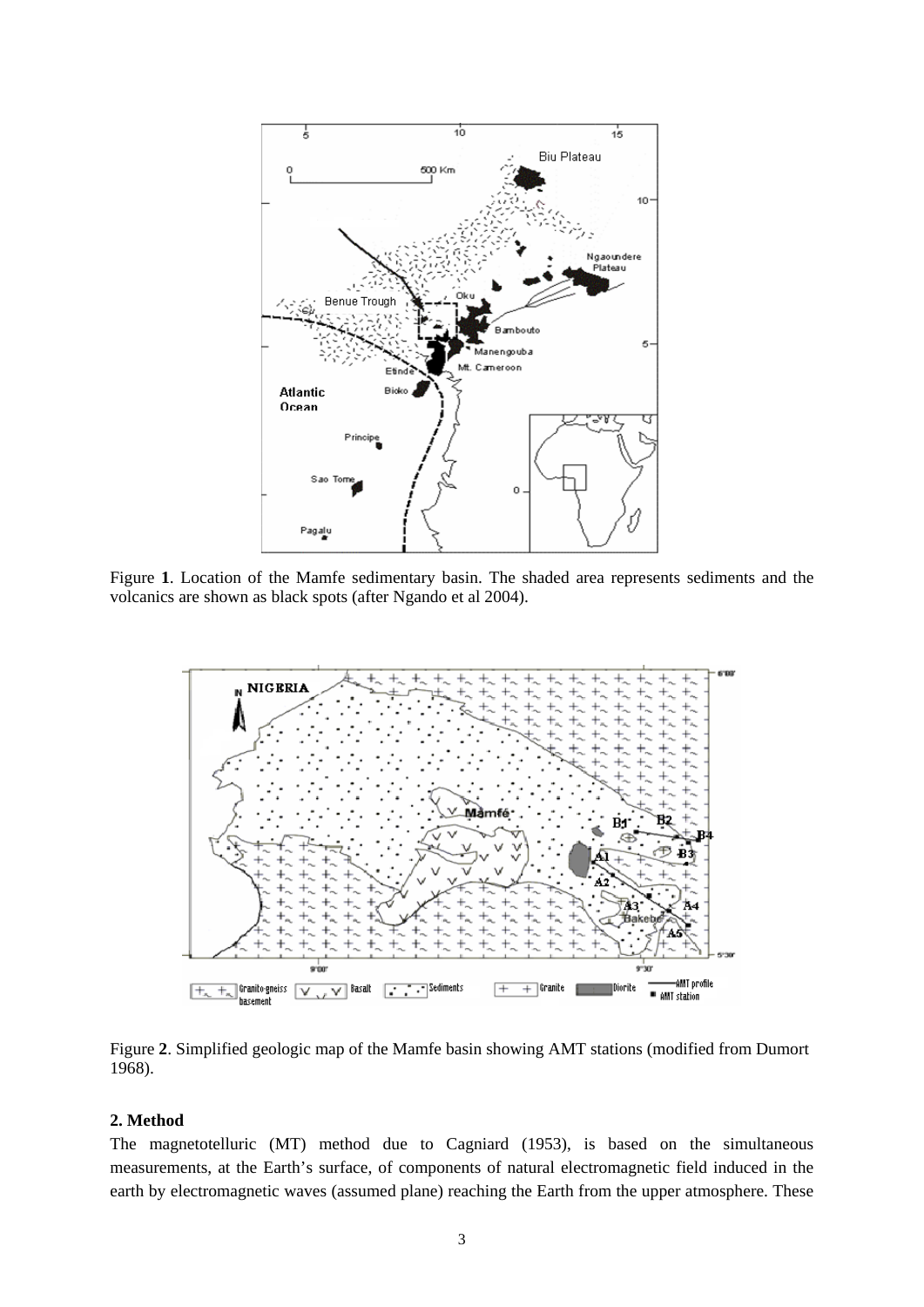

Figure **1**. Location of the Mamfe sedimentary basin. The shaded area represents sediments and the volcanics are shown as black spots (after Ngando et al 2004).



Figure **2**. Simplified geologic map of the Mamfe basin showing AMT stations (modified from Dumort 1968).

# **2. Method**

The magnetotelluric (MT) method due to Cagniard (1953), is based on the simultaneous measurements, at the Earth's surface, of components of natural electromagnetic field induced in the earth by electromagnetic waves (assumed plane) reaching the Earth from the upper atmosphere. These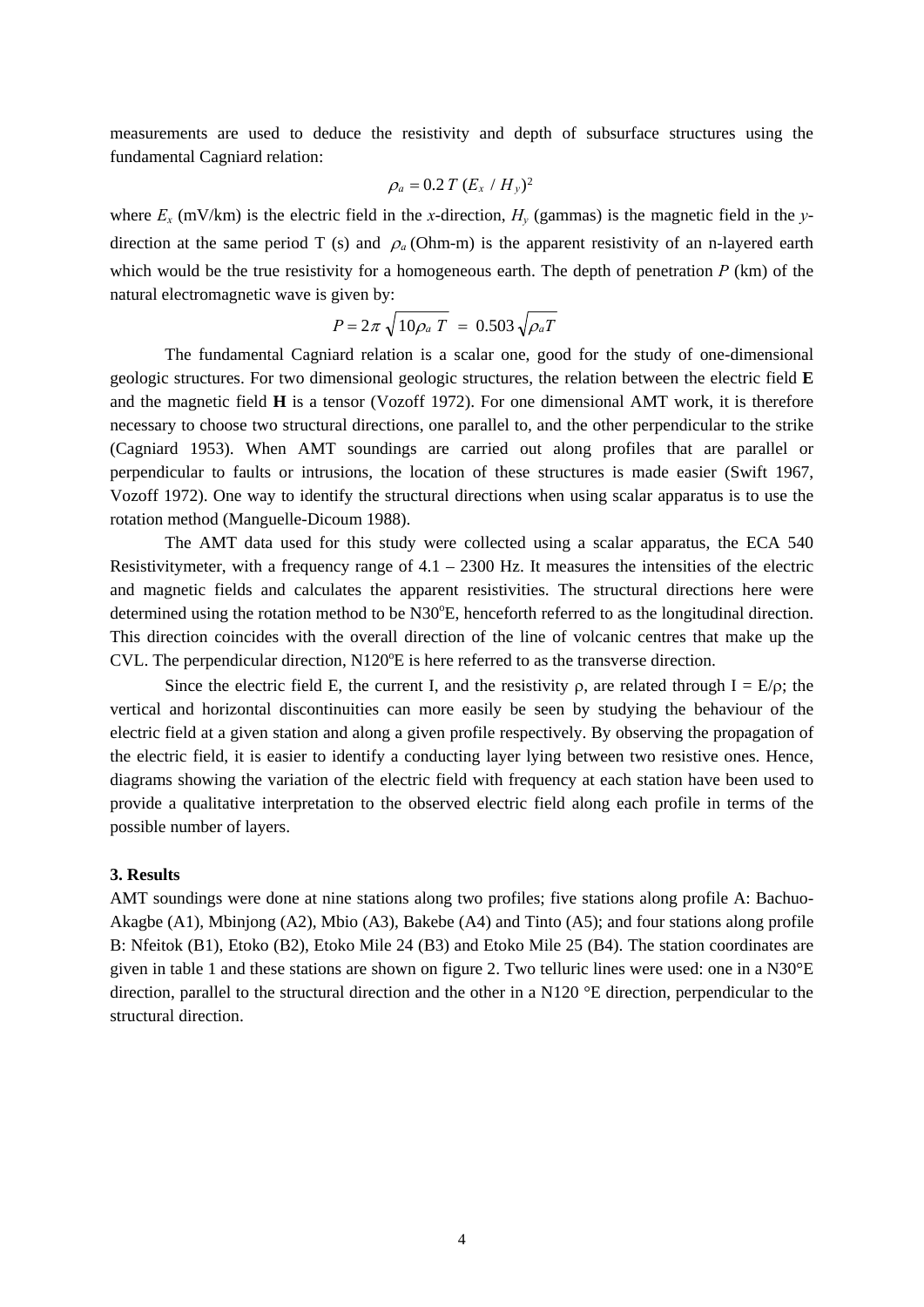measurements are used to deduce the resistivity and depth of subsurface structures using the fundamental Cagniard relation:

$$
\rho_a = 0.2 T (E_x / H_y)^2
$$

where  $E_x$  (mV/km) is the electric field in the *x*-direction,  $H_y$  (gammas) is the magnetic field in the *y*direction at the same period T (s) and  $\rho_a$  (Ohm-m) is the apparent resistivity of an n-layered earth which would be the true resistivity for a homogeneous earth. The depth of penetration *P* (km) of the natural electromagnetic wave is given by:

$$
P = 2\pi \sqrt{10\rho_a T} = 0.503 \sqrt{\rho_a T}
$$

The fundamental Cagniard relation is a scalar one, good for the study of one-dimensional geologic structures. For two dimensional geologic structures, the relation between the electric field **E** and the magnetic field **H** is a tensor (Vozoff 1972). For one dimensional AMT work, it is therefore necessary to choose two structural directions, one parallel to, and the other perpendicular to the strike (Cagniard 1953). When AMT soundings are carried out along profiles that are parallel or perpendicular to faults or intrusions, the location of these structures is made easier (Swift 1967, Vozoff 1972). One way to identify the structural directions when using scalar apparatus is to use the rotation method (Manguelle-Dicoum 1988).

The AMT data used for this study were collected using a scalar apparatus, the ECA 540 Resistivitymeter, with a frequency range of  $4.1 - 2300$  Hz. It measures the intensities of the electric and magnetic fields and calculates the apparent resistivities. The structural directions here were determined using the rotation method to be N30°E, henceforth referred to as the longitudinal direction. This direction coincides with the overall direction of the line of volcanic centres that make up the CVL. The perpendicular direction, N120°E is here referred to as the transverse direction.

Since the electric field E, the current I, and the resistivity  $\rho$ , are related through I = E/ $\rho$ ; the vertical and horizontal discontinuities can more easily be seen by studying the behaviour of the electric field at a given station and along a given profile respectively. By observing the propagation of the electric field, it is easier to identify a conducting layer lying between two resistive ones. Hence, diagrams showing the variation of the electric field with frequency at each station have been used to provide a qualitative interpretation to the observed electric field along each profile in terms of the possible number of layers.

#### **3. Results**

AMT soundings were done at nine stations along two profiles; five stations along profile A: Bachuo-Akagbe (A1), Mbinjong (A2), Mbio (A3), Bakebe (A4) and Tinto (A5); and four stations along profile B: Nfeitok (B1), Etoko (B2), Etoko Mile 24 (B3) and Etoko Mile 25 (B4). The station coordinates are given in table 1 and these stations are shown on figure 2. Two telluric lines were used: one in a N30°E direction, parallel to the structural direction and the other in a N120 °E direction, perpendicular to the structural direction.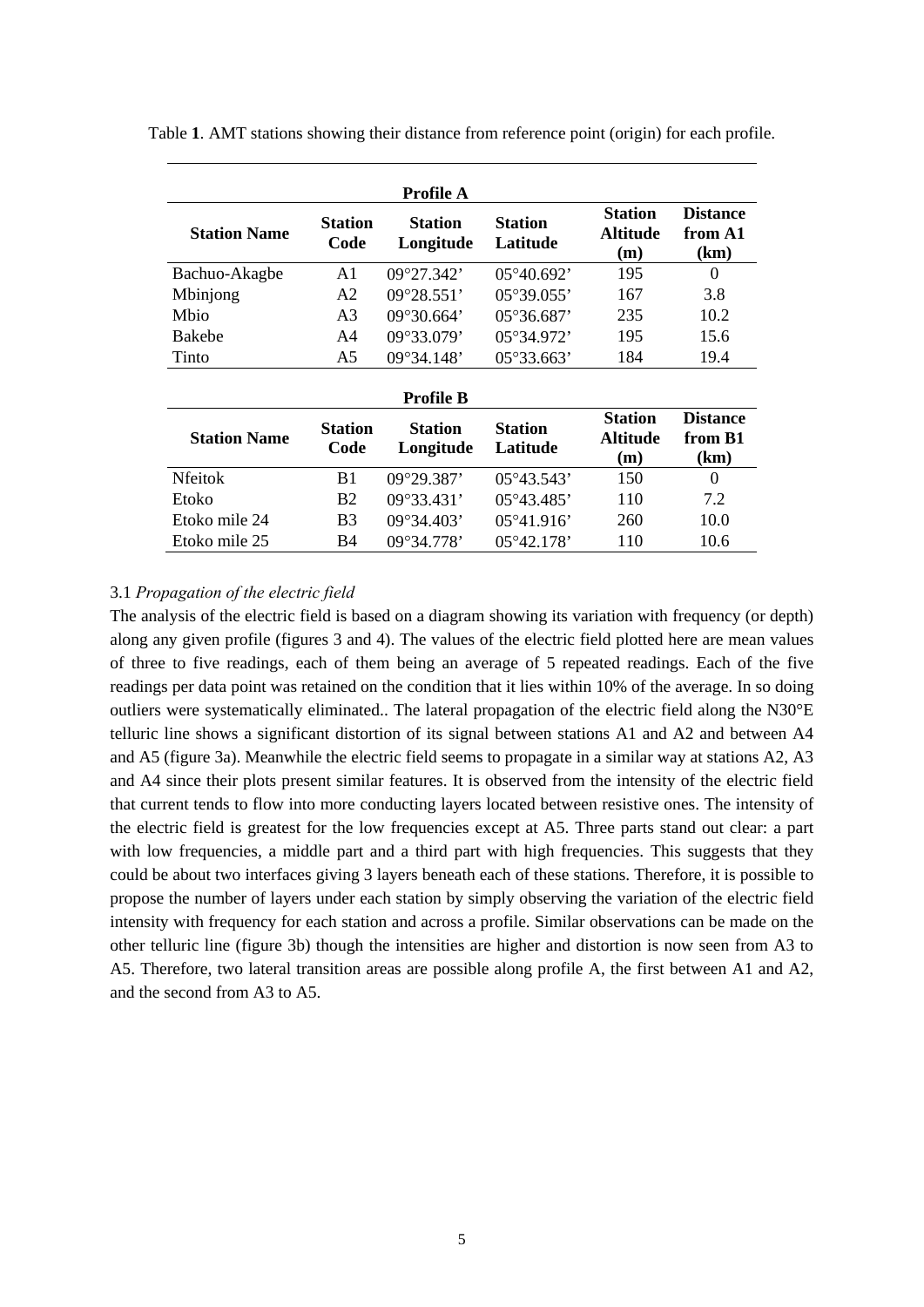| <b>Profile A</b>                              |                        |                             |                            |                                          |                                    |  |  |  |  |  |  |
|-----------------------------------------------|------------------------|-----------------------------|----------------------------|------------------------------------------|------------------------------------|--|--|--|--|--|--|
| <b>Station Name</b>                           | <b>Station</b><br>Code | <b>Station</b><br>Longitude | <b>Station</b><br>Latitude | <b>Station</b><br><b>Altitude</b><br>(m) | <b>Distance</b><br>from A1<br>(km) |  |  |  |  |  |  |
| Bachuo-Akagbe                                 | A <sub>1</sub>         | 09°27.342'                  | $05^{\circ}40.692'$        | 195                                      | $\theta$                           |  |  |  |  |  |  |
| Mbinjong                                      | A <sub>2</sub>         | $09^{\circ}28.551'$         | $05^{\circ}39.055'$        | 167                                      | 3.8                                |  |  |  |  |  |  |
| Mbio                                          | A <sub>3</sub>         | 09°30.664'                  | $05^{\circ}36.687'$        | 235                                      | 10.2                               |  |  |  |  |  |  |
| <b>Bakebe</b><br>A4                           |                        | 09°33.079'                  | 05°34.972'                 | 195                                      | 15.6                               |  |  |  |  |  |  |
| Tinto                                         | A5                     | 09°34.148'                  | 05°33.663'                 | 184                                      | 19.4                               |  |  |  |  |  |  |
|                                               |                        | <b>Profile B</b>            |                            |                                          |                                    |  |  |  |  |  |  |
| <b>Station</b><br><b>Station Name</b><br>Code |                        | <b>Station</b><br>Longitude | <b>Station</b><br>Latitude | <b>Station</b><br><b>Altitude</b><br>(m) | <b>Distance</b><br>from B1<br>(km) |  |  |  |  |  |  |
| <b>Nfeitok</b>                                | B1                     | 09°29.387'                  | $05^{\circ}43.543'$        | 150                                      | $\theta$                           |  |  |  |  |  |  |
| Etoko                                         | <b>B2</b>              | $09^{\circ}33.431'$         | $05^{\circ}43.485'$        | 110                                      | 7.2                                |  |  |  |  |  |  |
| Etoko mile 24                                 | B <sub>3</sub>         | $09^{\circ}34.403'$         | $05^{\circ}41.916'$        | 260                                      | 10.0                               |  |  |  |  |  |  |
| Etoko mile 25                                 | B4                     | 09°34.778'                  | $05^{\circ}42.178'$        | 110                                      | 10.6                               |  |  |  |  |  |  |

Table **1**. AMT stations showing their distance from reference point (origin) for each profile.

# 3.1 *Propagation of the electric field*

The analysis of the electric field is based on a diagram showing its variation with frequency (or depth) along any given profile (figures 3 and 4). The values of the electric field plotted here are mean values of three to five readings, each of them being an average of 5 repeated readings. Each of the five readings per data point was retained on the condition that it lies within 10% of the average. In so doing outliers were systematically eliminated.. The lateral propagation of the electric field along the N30°E telluric line shows a significant distortion of its signal between stations A1 and A2 and between A4 and A5 (figure 3a). Meanwhile the electric field seems to propagate in a similar way at stations A2, A3 and A4 since their plots present similar features. It is observed from the intensity of the electric field that current tends to flow into more conducting layers located between resistive ones. The intensity of the electric field is greatest for the low frequencies except at A5. Three parts stand out clear: a part with low frequencies, a middle part and a third part with high frequencies. This suggests that they could be about two interfaces giving 3 layers beneath each of these stations. Therefore, it is possible to propose the number of layers under each station by simply observing the variation of the electric field intensity with frequency for each station and across a profile. Similar observations can be made on the other telluric line (figure 3b) though the intensities are higher and distortion is now seen from A3 to A5. Therefore, two lateral transition areas are possible along profile A, the first between A1 and A2, and the second from A3 to A5.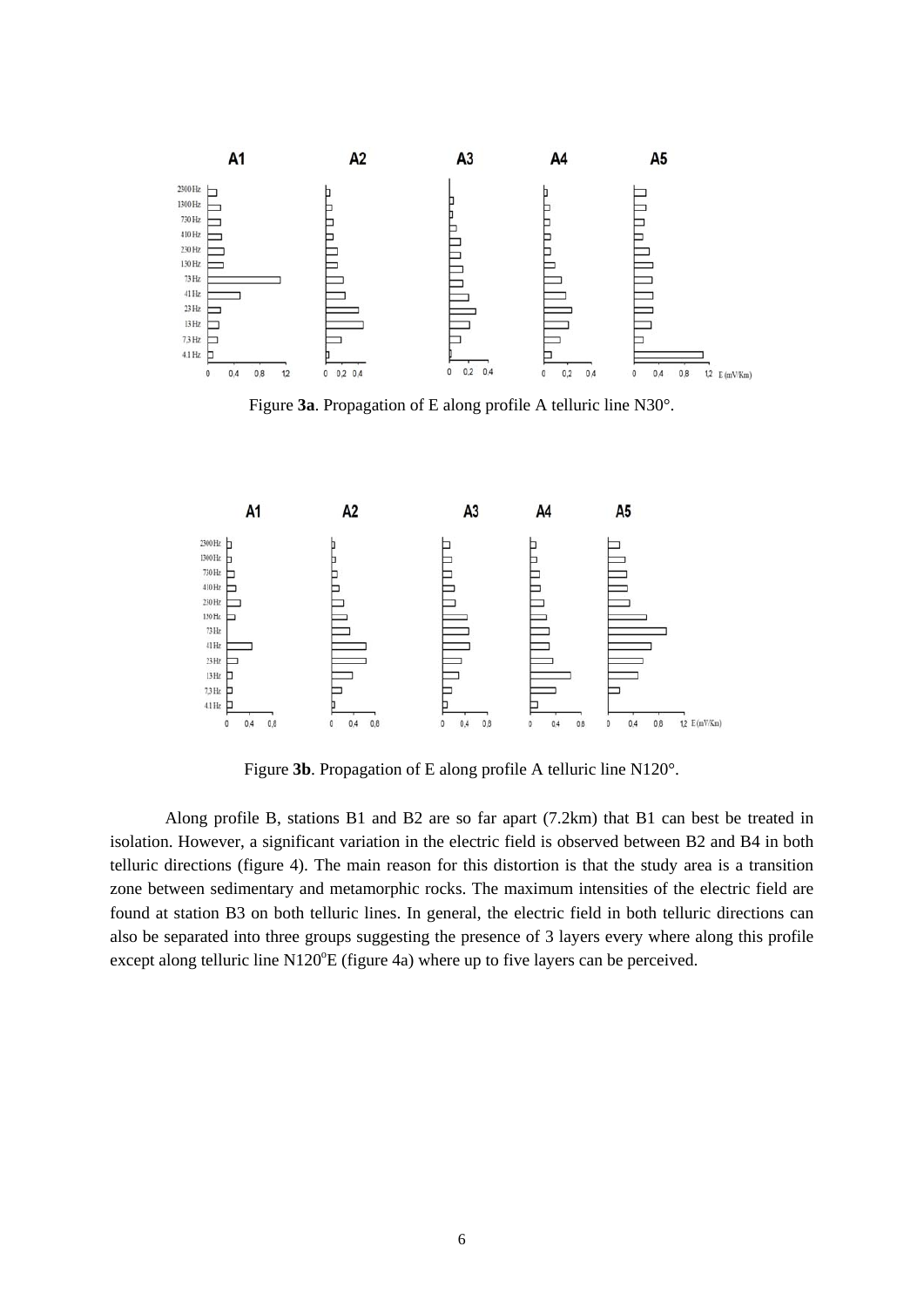

Figure **3a**. Propagation of E along profile A telluric line N30°.



Figure **3b**. Propagation of E along profile A telluric line N120°.

Along profile B, stations B1 and B2 are so far apart (7.2km) that B1 can best be treated in isolation. However, a significant variation in the electric field is observed between B2 and B4 in both telluric directions (figure 4). The main reason for this distortion is that the study area is a transition zone between sedimentary and metamorphic rocks. The maximum intensities of the electric field are found at station B3 on both telluric lines. In general, the electric field in both telluric directions can also be separated into three groups suggesting the presence of 3 layers every where along this profile except along telluric line  $N120^{\circ}E$  (figure 4a) where up to five layers can be perceived.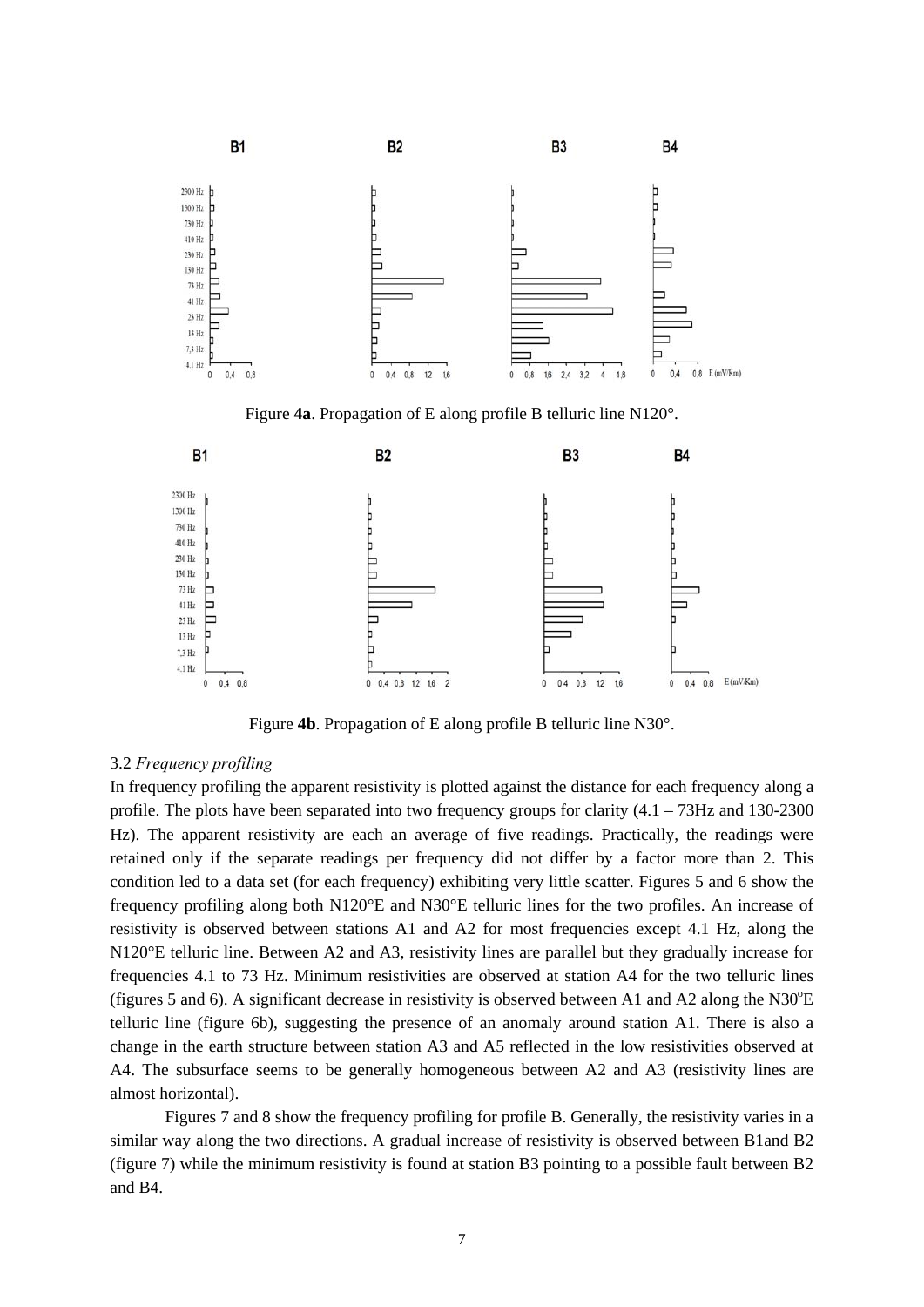

Figure **4a**. Propagation of E along profile B telluric line N120°.



Figure **4b**. Propagation of E along profile B telluric line N30°.

## 3.2 *Frequency profiling*

In frequency profiling the apparent resistivity is plotted against the distance for each frequency along a profile. The plots have been separated into two frequency groups for clarity (4.1 – 73Hz and 130-2300 Hz). The apparent resistivity are each an average of five readings. Practically, the readings were retained only if the separate readings per frequency did not differ by a factor more than 2. This condition led to a data set (for each frequency) exhibiting very little scatter. Figures 5 and 6 show the frequency profiling along both N120°E and N30°E telluric lines for the two profiles. An increase of resistivity is observed between stations A1 and A2 for most frequencies except 4.1 Hz, along the N120°E telluric line. Between A2 and A3, resistivity lines are parallel but they gradually increase for frequencies 4.1 to 73 Hz. Minimum resistivities are observed at station A4 for the two telluric lines (figures 5 and 6). A significant decrease in resistivity is observed between A1 and A2 along the N30 $^{\circ}$ E telluric line (figure 6b), suggesting the presence of an anomaly around station A1. There is also a change in the earth structure between station A3 and A5 reflected in the low resistivities observed at A4. The subsurface seems to be generally homogeneous between A2 and A3 (resistivity lines are almost horizontal).

Figures 7 and 8 show the frequency profiling for profile B. Generally, the resistivity varies in a similar way along the two directions. A gradual increase of resistivity is observed between B1and B2 (figure 7) while the minimum resistivity is found at station B3 pointing to a possible fault between B2 and B4.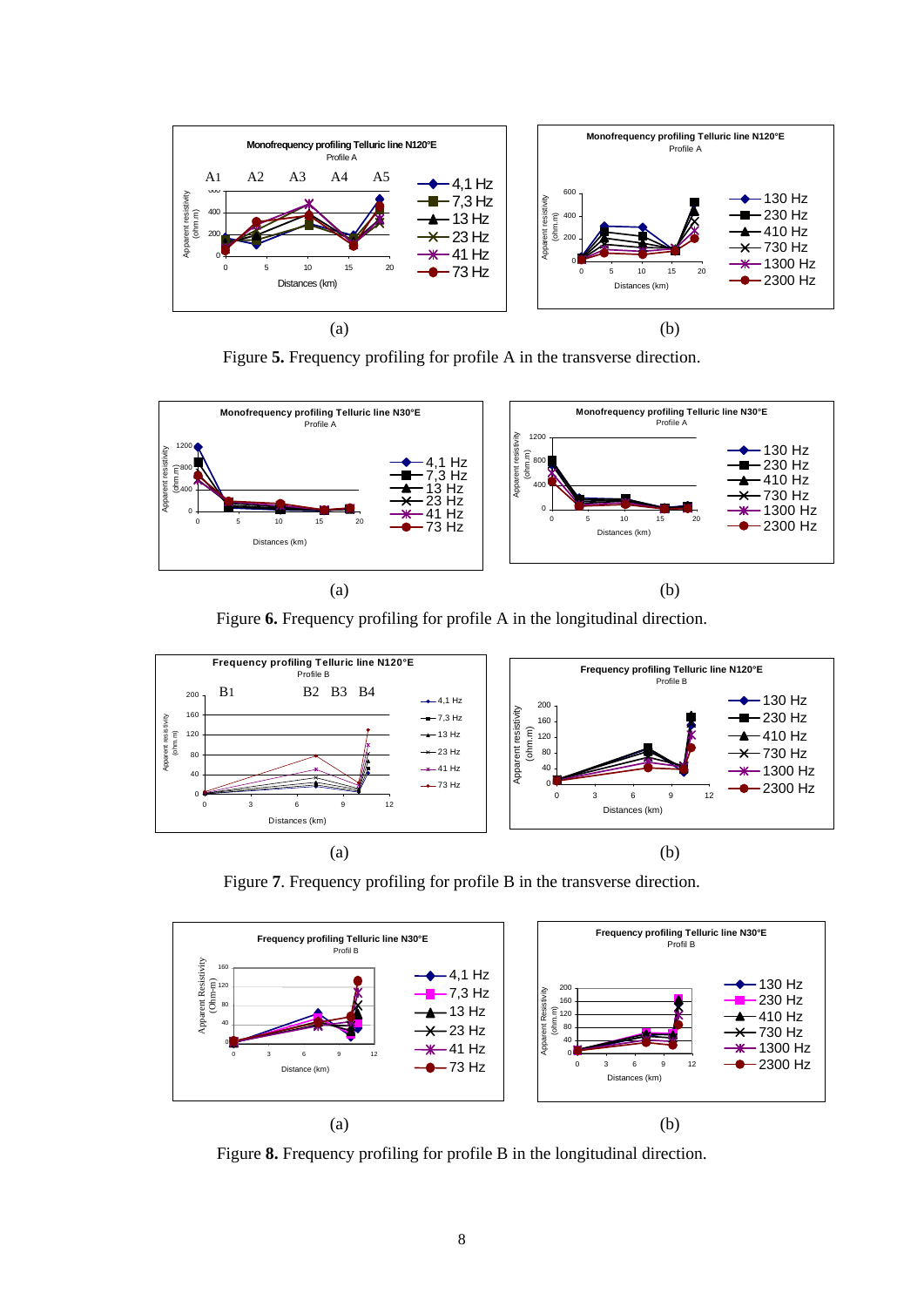

Figure **5.** Frequency profiling for profile A in the transverse direction.



Figure **6.** Frequency profiling for profile A in the longitudinal direction.



Figure **7**. Frequency profiling for profile B in the transverse direction.



Figure **8.** Frequency profiling for profile B in the longitudinal direction.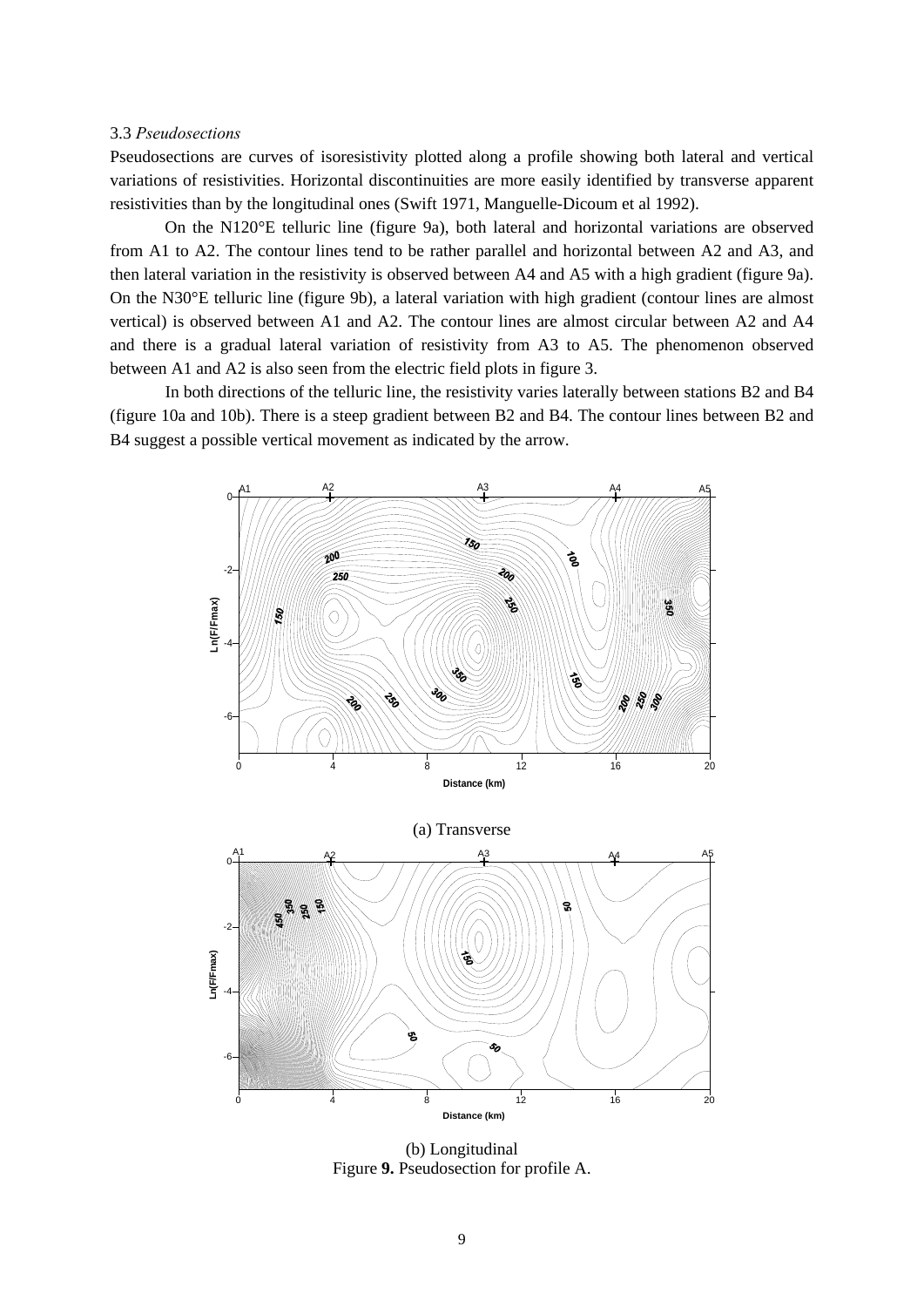## 3.3 *Pseudosections*

Pseudosections are curves of isoresistivity plotted along a profile showing both lateral and vertical variations of resistivities. Horizontal discontinuities are more easily identified by transverse apparent resistivities than by the longitudinal ones (Swift 1971, Manguelle-Dicoum et al 1992).

On the N120°E telluric line (figure 9a), both lateral and horizontal variations are observed from A1 to A2. The contour lines tend to be rather parallel and horizontal between A2 and A3, and then lateral variation in the resistivity is observed between A4 and A5 with a high gradient (figure 9a). On the N30°E telluric line (figure 9b), a lateral variation with high gradient (contour lines are almost vertical) is observed between A1 and A2. The contour lines are almost circular between A2 and A4 and there is a gradual lateral variation of resistivity from A3 to A5. The phenomenon observed between A1 and A2 is also seen from the electric field plots in figure 3.

In both directions of the telluric line, the resistivity varies laterally between stations B2 and B4 (figure 10a and 10b). There is a steep gradient between B2 and B4. The contour lines between B2 and B4 suggest a possible vertical movement as indicated by the arrow.





(b) Longitudinal Figure **9.** Pseudosection for profile A.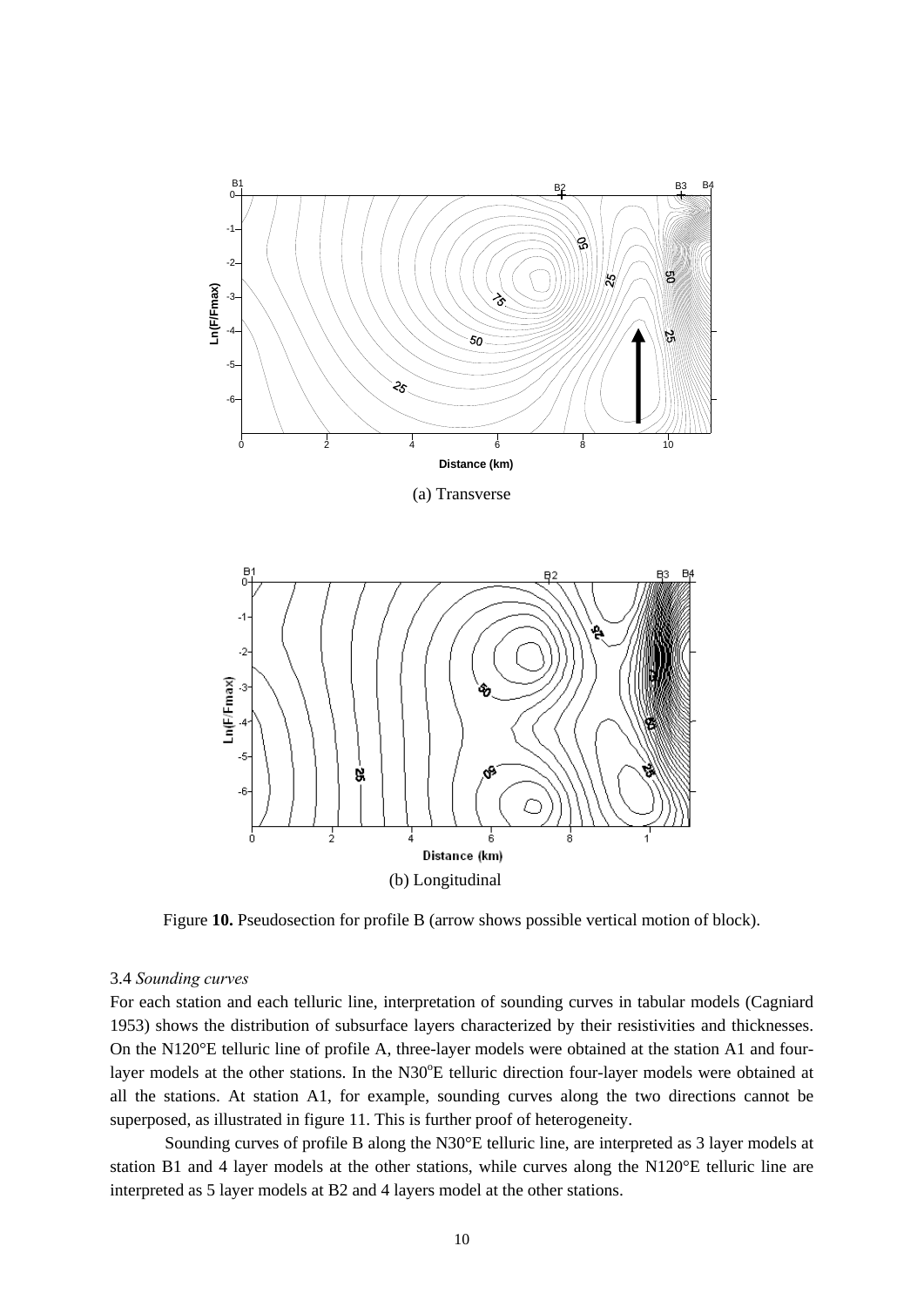

(a) Transverse



Figure **10.** Pseudosection for profile B (arrow shows possible vertical motion of block).

#### 3.4 *Sounding curves*

For each station and each telluric line, interpretation of sounding curves in tabular models (Cagniard 1953) shows the distribution of subsurface layers characterized by their resistivities and thicknesses. On the N120°E telluric line of profile A, three-layer models were obtained at the station A1 and fourlayer models at the other stations. In the N30°E telluric direction four-layer models were obtained at all the stations. At station A1, for example, sounding curves along the two directions cannot be superposed, as illustrated in figure 11. This is further proof of heterogeneity.

Sounding curves of profile B along the N30°E telluric line, are interpreted as 3 layer models at station B1 and 4 layer models at the other stations, while curves along the N120°E telluric line are interpreted as 5 layer models at B2 and 4 layers model at the other stations.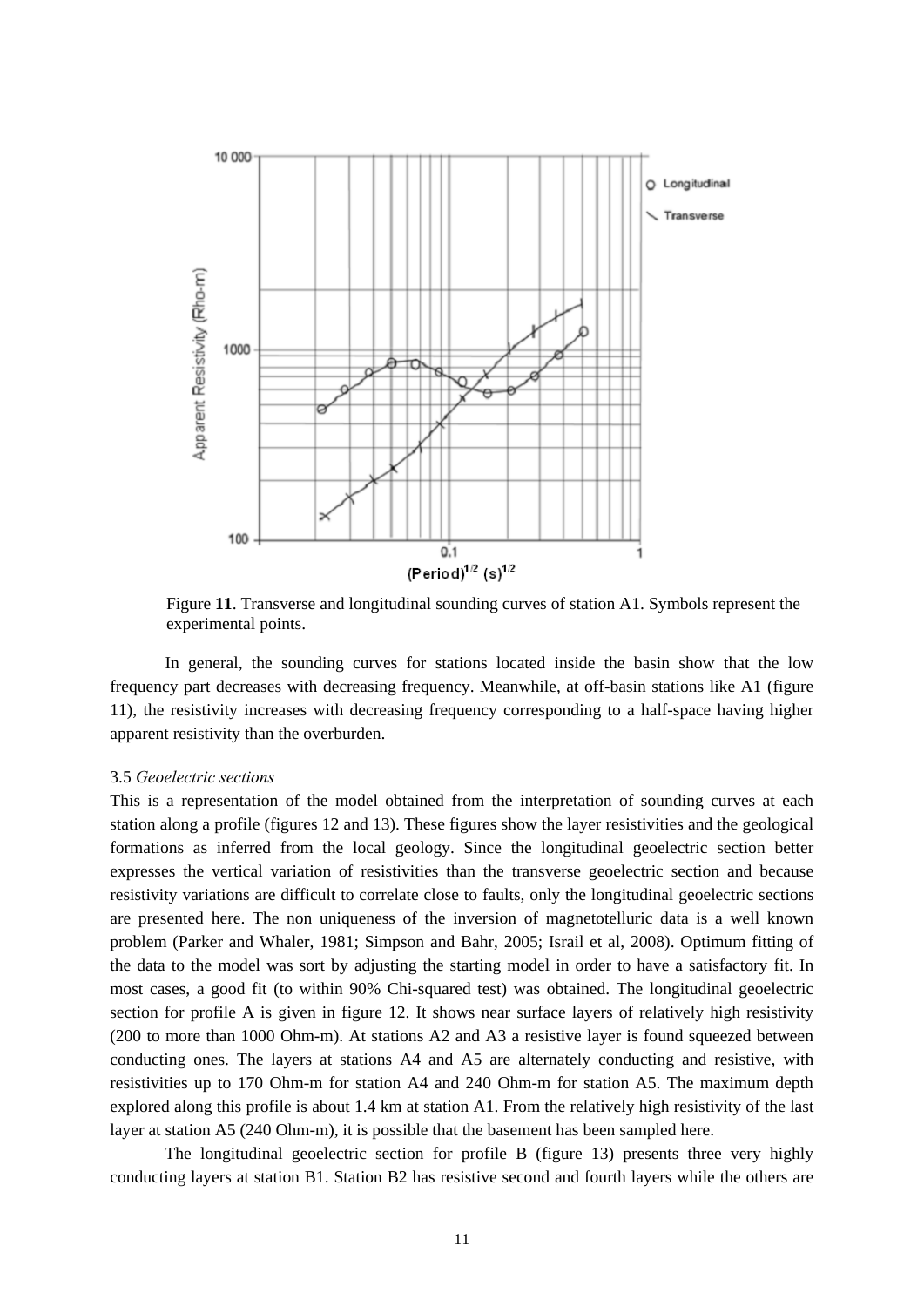

Figure **11**. Transverse and longitudinal sounding curves of station A1. Symbols represent the experimental points.

 In general, the sounding curves for stations located inside the basin show that the low frequency part decreases with decreasing frequency. Meanwhile, at off-basin stations like A1 (figure 11), the resistivity increases with decreasing frequency corresponding to a half-space having higher apparent resistivity than the overburden.

# 3.5 *Geoelectric sections*

This is a representation of the model obtained from the interpretation of sounding curves at each station along a profile (figures 12 and 13). These figures show the layer resistivities and the geological formations as inferred from the local geology. Since the longitudinal geoelectric section better expresses the vertical variation of resistivities than the transverse geoelectric section and because resistivity variations are difficult to correlate close to faults, only the longitudinal geoelectric sections are presented here. The non uniqueness of the inversion of magnetotelluric data is a well known problem (Parker and Whaler, 1981; Simpson and Bahr, 2005; Israil et al, 2008). Optimum fitting of the data to the model was sort by adjusting the starting model in order to have a satisfactory fit. In most cases, a good fit (to within 90% Chi-squared test) was obtained. The longitudinal geoelectric section for profile A is given in figure 12. It shows near surface layers of relatively high resistivity (200 to more than 1000 Ohm-m). At stations A2 and A3 a resistive layer is found squeezed between conducting ones. The layers at stations A4 and A5 are alternately conducting and resistive, with resistivities up to 170 Ohm-m for station A4 and 240 Ohm-m for station A5. The maximum depth explored along this profile is about 1.4 km at station A1. From the relatively high resistivity of the last layer at station A5 (240 Ohm-m), it is possible that the basement has been sampled here.

The longitudinal geoelectric section for profile B (figure 13) presents three very highly conducting layers at station B1. Station B2 has resistive second and fourth layers while the others are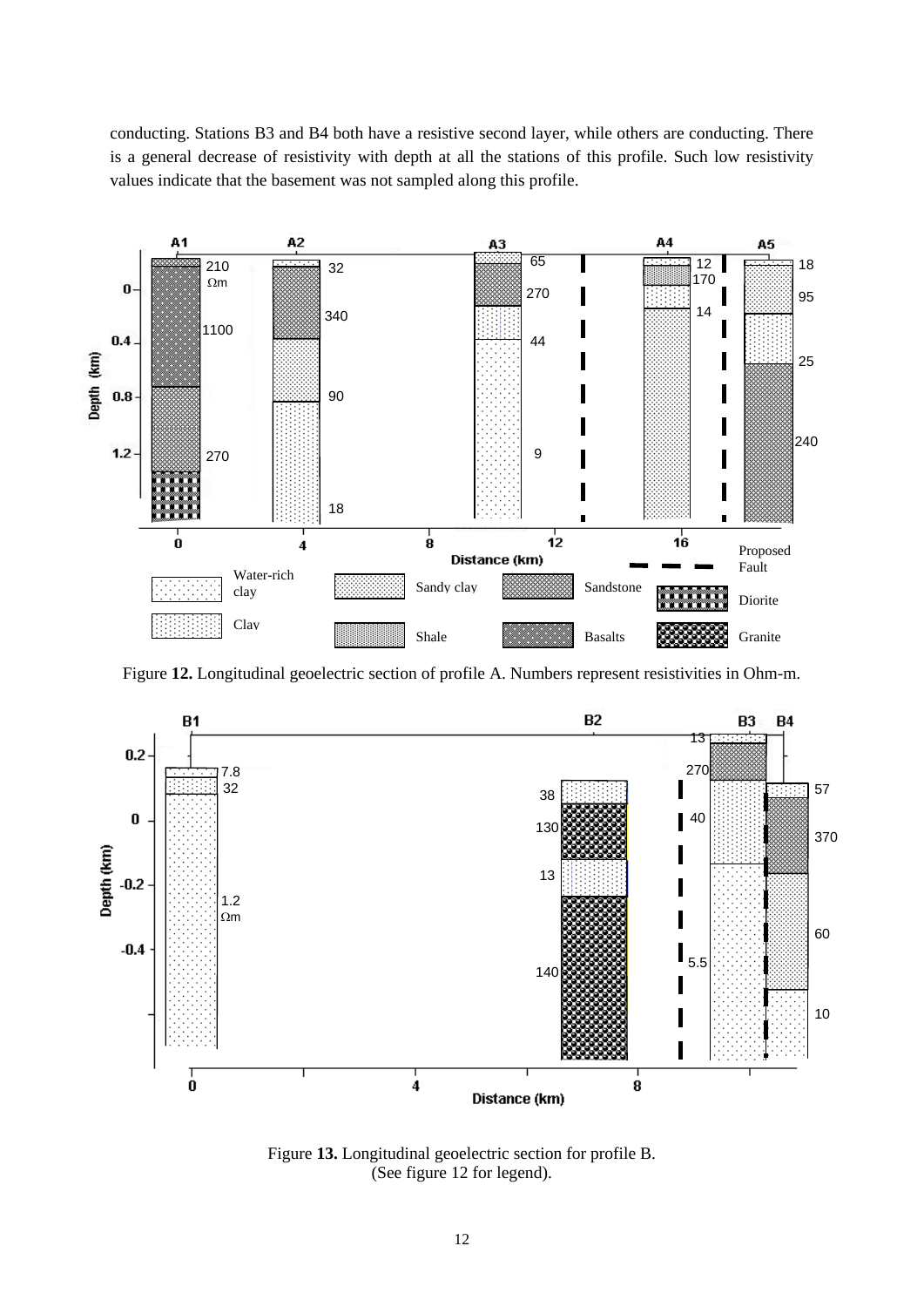conducting. Stations B3 and B4 both have a resistive second layer, while others are conducting. There is a general decrease of resistivity with depth at all the stations of this profile. Such low resistivity values indicate that the basement was not sampled along this profile.



Figure **12.** Longitudinal geoelectric section of profile A. Numbers represent resistivities in Ohm-m.



Figure **13.** Longitudinal geoelectric section for profile B. (See figure 12 for legend).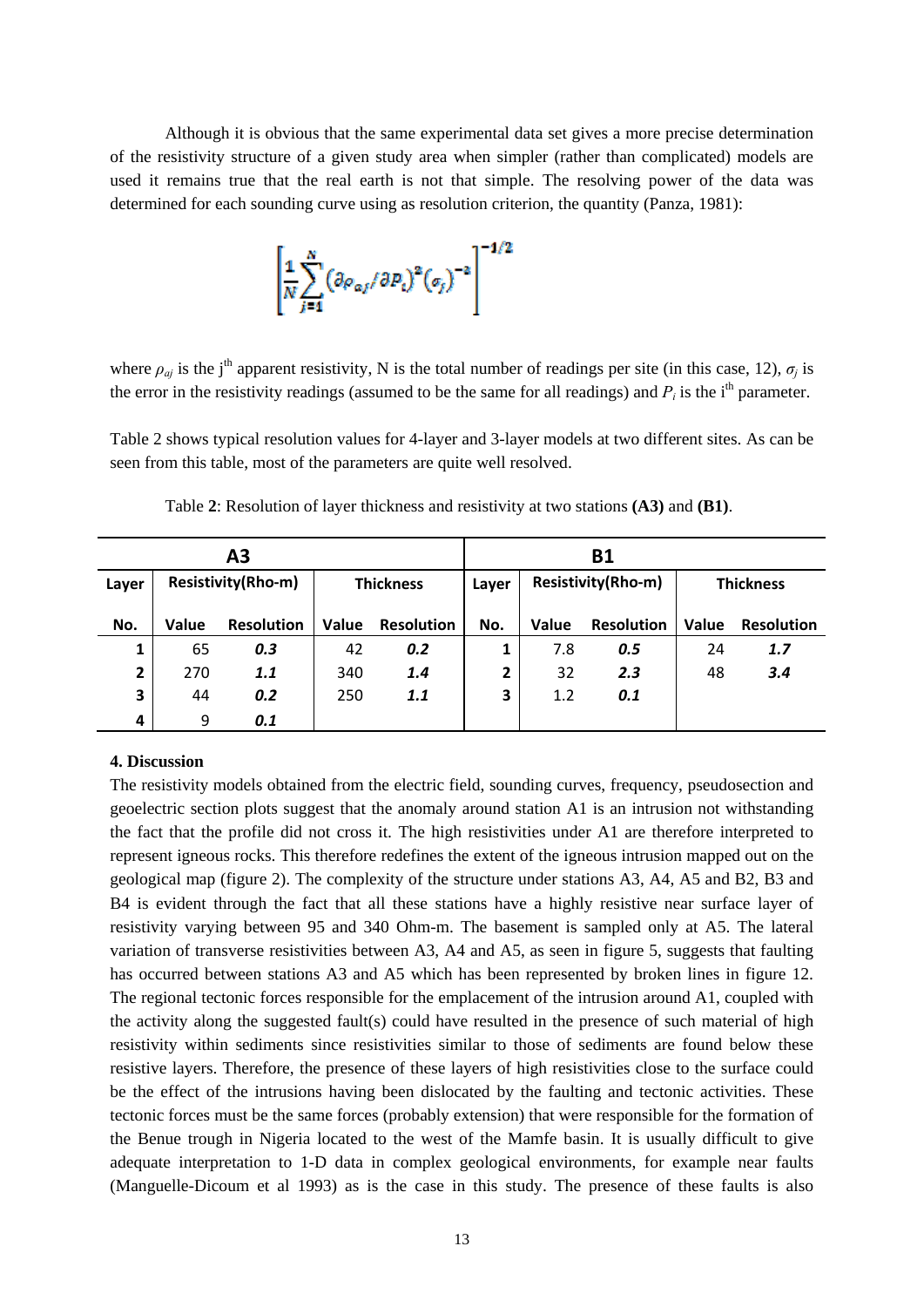Although it is obvious that the same experimental data set gives a more precise determination of the resistivity structure of a given study area when simpler (rather than complicated) models are used it remains true that the real earth is not that simple. The resolving power of the data was determined for each sounding curve using as resolution criterion, the quantity (Panza, 1981):



where  $\rho_{qj}$  is the j<sup>th</sup> apparent resistivity, N is the total number of readings per site (in this case, 12),  $\sigma_j$  is the error in the resistivity readings (assumed to be the same for all readings) and  $P_i$  is the i<sup>th</sup> parameter.

Table 2 shows typical resolution values for 4-layer and 3-layer models at two different sites. As can be seen from this table, most of the parameters are quite well resolved.

| А3    |                    |                   |                  | <b>B1</b>         |                |                           |                   |                  |                   |
|-------|--------------------|-------------------|------------------|-------------------|----------------|---------------------------|-------------------|------------------|-------------------|
| Layer | Resistivity(Rho-m) |                   | <b>Thickness</b> |                   | Layer          | <b>Resistivity(Rho-m)</b> |                   | <b>Thickness</b> |                   |
| No.   | Value              | <b>Resolution</b> | Value            | <b>Resolution</b> | No.            | Value                     | <b>Resolution</b> | Value            | <b>Resolution</b> |
| 1     | 65                 | 0.3               | 42               | 0.2               |                | 7.8                       | 0.5               | 24               | 1.7               |
| 2     | 270                | 1.1               | 340              | 1.4               | $\overline{2}$ | 32                        | 2.3               | 48               | 3.4               |
| 3     | 44                 | 0.2               | 250              | 1.1               | 3              | 1.2                       | 0.1               |                  |                   |
| 4     | 9                  | 0.1               |                  |                   |                |                           |                   |                  |                   |

Table **2**: Resolution of layer thickness and resistivity at two stations **(A3)** and **(B1)**.

## **4. Discussion**

The resistivity models obtained from the electric field, sounding curves, frequency, pseudosection and geoelectric section plots suggest that the anomaly around station A1 is an intrusion not withstanding the fact that the profile did not cross it. The high resistivities under A1 are therefore interpreted to represent igneous rocks. This therefore redefines the extent of the igneous intrusion mapped out on the geological map (figure 2). The complexity of the structure under stations A3, A4, A5 and B2, B3 and B4 is evident through the fact that all these stations have a highly resistive near surface layer of resistivity varying between 95 and 340 Ohm-m. The basement is sampled only at A5. The lateral variation of transverse resistivities between A3, A4 and A5, as seen in figure 5, suggests that faulting has occurred between stations A3 and A5 which has been represented by broken lines in figure 12. The regional tectonic forces responsible for the emplacement of the intrusion around A1, coupled with the activity along the suggested fault(s) could have resulted in the presence of such material of high resistivity within sediments since resistivities similar to those of sediments are found below these resistive layers. Therefore, the presence of these layers of high resistivities close to the surface could be the effect of the intrusions having been dislocated by the faulting and tectonic activities. These tectonic forces must be the same forces (probably extension) that were responsible for the formation of the Benue trough in Nigeria located to the west of the Mamfe basin. It is usually difficult to give adequate interpretation to 1-D data in complex geological environments, for example near faults (Manguelle-Dicoum et al 1993) as is the case in this study. The presence of these faults is also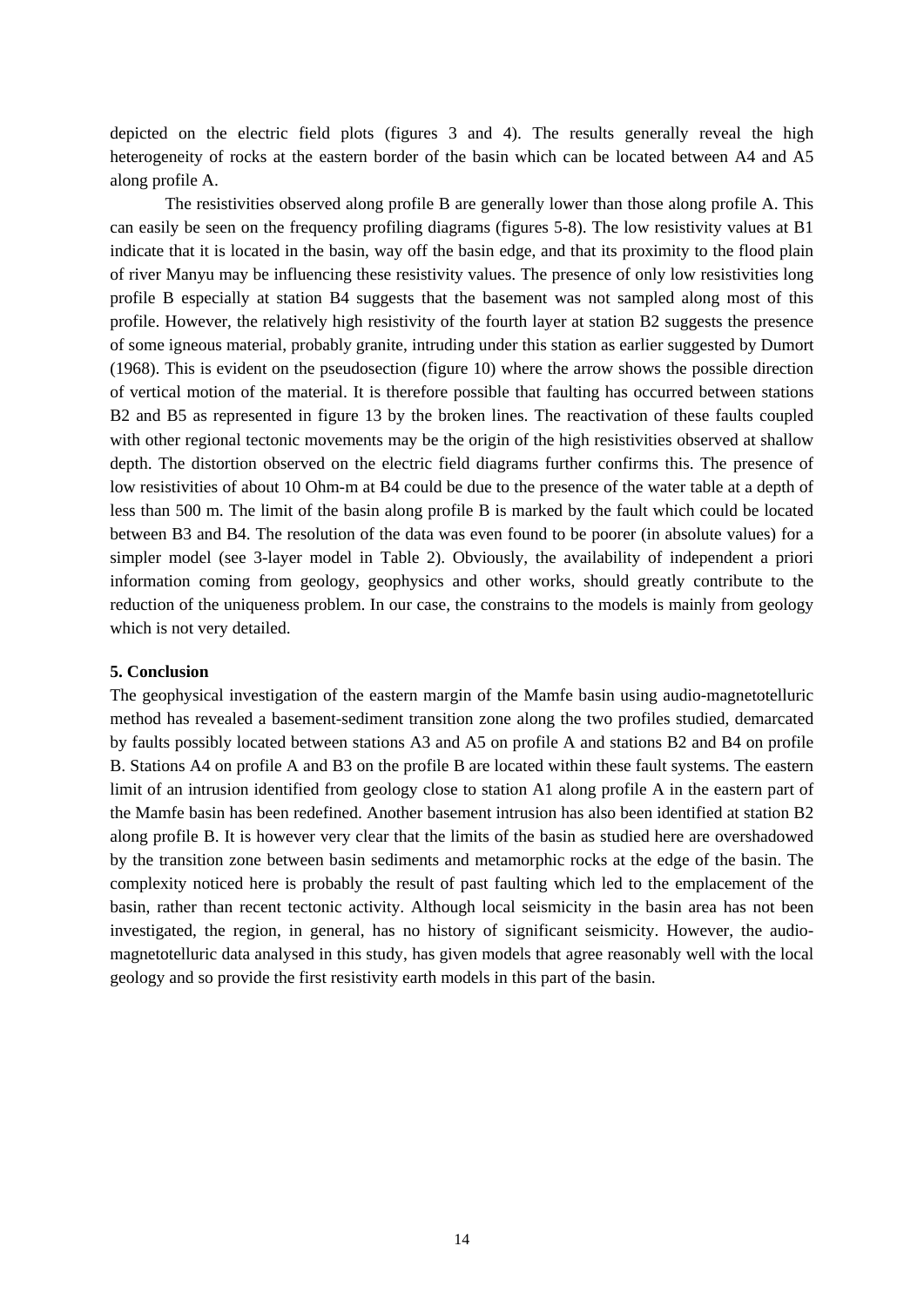depicted on the electric field plots (figures 3 and 4). The results generally reveal the high heterogeneity of rocks at the eastern border of the basin which can be located between A4 and A5 along profile A.

The resistivities observed along profile B are generally lower than those along profile A. This can easily be seen on the frequency profiling diagrams (figures 5-8). The low resistivity values at B1 indicate that it is located in the basin, way off the basin edge, and that its proximity to the flood plain of river Manyu may be influencing these resistivity values. The presence of only low resistivities long profile B especially at station B4 suggests that the basement was not sampled along most of this profile. However, the relatively high resistivity of the fourth layer at station B2 suggests the presence of some igneous material, probably granite, intruding under this station as earlier suggested by Dumort (1968). This is evident on the pseudosection (figure 10) where the arrow shows the possible direction of vertical motion of the material. It is therefore possible that faulting has occurred between stations B2 and B5 as represented in figure 13 by the broken lines. The reactivation of these faults coupled with other regional tectonic movements may be the origin of the high resistivities observed at shallow depth. The distortion observed on the electric field diagrams further confirms this. The presence of low resistivities of about 10 Ohm-m at B4 could be due to the presence of the water table at a depth of less than 500 m. The limit of the basin along profile B is marked by the fault which could be located between B3 and B4. The resolution of the data was even found to be poorer (in absolute values) for a simpler model (see 3-layer model in Table 2). Obviously, the availability of independent a priori information coming from geology, geophysics and other works, should greatly contribute to the reduction of the uniqueness problem. In our case, the constrains to the models is mainly from geology which is not very detailed.

## **5. Conclusion**

The geophysical investigation of the eastern margin of the Mamfe basin using audio-magnetotelluric method has revealed a basement-sediment transition zone along the two profiles studied, demarcated by faults possibly located between stations A3 and A5 on profile A and stations B2 and B4 on profile B. Stations A4 on profile A and B3 on the profile B are located within these fault systems. The eastern limit of an intrusion identified from geology close to station A1 along profile A in the eastern part of the Mamfe basin has been redefined. Another basement intrusion has also been identified at station B2 along profile B. It is however very clear that the limits of the basin as studied here are overshadowed by the transition zone between basin sediments and metamorphic rocks at the edge of the basin. The complexity noticed here is probably the result of past faulting which led to the emplacement of the basin, rather than recent tectonic activity. Although local seismicity in the basin area has not been investigated, the region, in general, has no history of significant seismicity. However, the audiomagnetotelluric data analysed in this study, has given models that agree reasonably well with the local geology and so provide the first resistivity earth models in this part of the basin.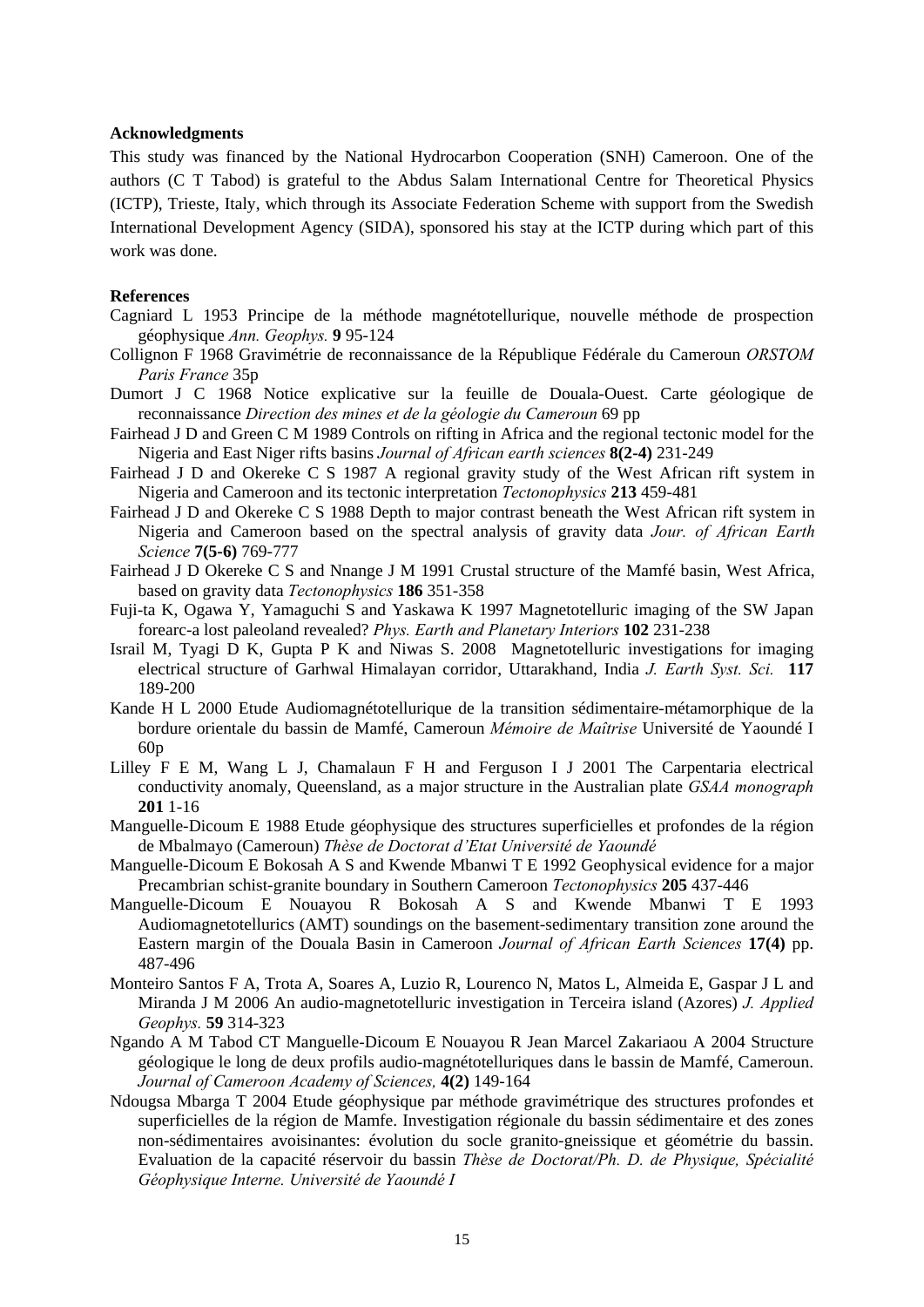#### **Acknowledgments**

This study was financed by the National Hydrocarbon Cooperation (SNH) Cameroon. One of the authors (C T Tabod) is grateful to the Abdus Salam International Centre for Theoretical Physics (ICTP), Trieste, Italy, which through its Associate Federation Scheme with support from the Swedish International Development Agency (SIDA), sponsored his stay at the ICTP during which part of this work was done.

#### **References**

- Cagniard L 1953 Principe de la méthode magnétotellurique, nouvelle méthode de prospection géophysique *Ann. Geophys.* **9** 95-124
- Collignon F 1968 Gravimétrie de reconnaissance de la République Fédérale du Cameroun *ORSTOM Paris France* 35p
- Dumort J C 1968 Notice explicative sur la feuille de Douala-Ouest. Carte géologique de reconnaissance *Direction des mines et de la géologie du Cameroun* 69 pp
- Fairhead J D and Green C M 1989 Controls on rifting in Africa and the regional tectonic model for the Nigeria and East Niger rifts basins *Journal of African earth sciences* **8(2-4)** 231-249
- Fairhead J D and Okereke C S 1987 A regional gravity study of the West African rift system in Nigeria and Cameroon and its tectonic interpretation *Tectonophysics* **213** 459-481
- Fairhead J D and Okereke C S 1988 Depth to major contrast beneath the West African rift system in Nigeria and Cameroon based on the spectral analysis of gravity data *Jour. of African Earth Science* **7(5-6)** 769-777
- Fairhead J D Okereke C S and Nnange J M 1991 Crustal structure of the Mamfé basin, West Africa, based on gravity data *Tectonophysics* **186** 351-358
- Fuji-ta K, Ogawa Y, Yamaguchi S and Yaskawa K 1997 Magnetotelluric imaging of the SW Japan forearc-a lost paleoland revealed? *Phys. Earth and Planetary Interiors* **102** 231-238
- Israil M, Tyagi D K, Gupta P K and Niwas S. 2008 Magnetotelluric investigations for imaging electrical structure of Garhwal Himalayan corridor, Uttarakhand, India *J. Earth Syst. Sci.* **117** 189-200
- Kande H L 2000 Etude Audiomagnétotellurique de la transition sédimentaire-métamorphique de la bordure orientale du bassin de Mamfé, Cameroun *Mémoire de Maîtrise* Université de Yaoundé I 60p
- Lilley F E M, Wang L J, Chamalaun F H and Ferguson I J 2001 The Carpentaria electrical conductivity anomaly, Queensland, as a major structure in the Australian plate *GSAA monograph* **201** 1-16
- Manguelle-Dicoum E 1988 Etude géophysique des structures superficielles et profondes de la région de Mbalmayo (Cameroun) *Thèse de Doctorat d'Etat Université de Yaoundé*
- Manguelle-Dicoum E Bokosah A S and Kwende Mbanwi T E 1992 Geophysical evidence for a major Precambrian schist-granite boundary in Southern Cameroon *Tectonophysics* **205** 437-446
- Manguelle-Dicoum E Nouayou R Bokosah A S and Kwende Mbanwi T E 1993 Audiomagnetotellurics (AMT) soundings on the basement-sedimentary transition zone around the Eastern margin of the Douala Basin in Cameroon *Journal of African Earth Sciences* **17(4)** pp. 487-496
- Monteiro Santos F A, Trota A, Soares A, Luzio R, Lourenco N, Matos L, Almeida E, Gaspar J L and Miranda J M 2006 An audio-magnetotelluric investigation in Terceira island (Azores) *J. Applied Geophys.* **59** 314-323
- Ngando A M Tabod CT Manguelle-Dicoum E Nouayou R Jean Marcel Zakariaou A 2004 Structure géologique le long de deux profils audio-magnétotelluriques dans le bassin de Mamfé, Cameroun. *Journal of Cameroon Academy of Sciences,* **4(2)** 149-164
- Ndougsa Mbarga T 2004 Etude géophysique par méthode gravimétrique des structures profondes et superficielles de la région de Mamfe. Investigation régionale du bassin sédimentaire et des zones non-sédimentaires avoisinantes: évolution du socle granito-gneissique et géométrie du bassin. Evaluation de la capacité réservoir du bassin *Thèse de Doctorat/Ph. D. de Physique, Spécialité Géophysique Interne. Université de Yaoundé I*